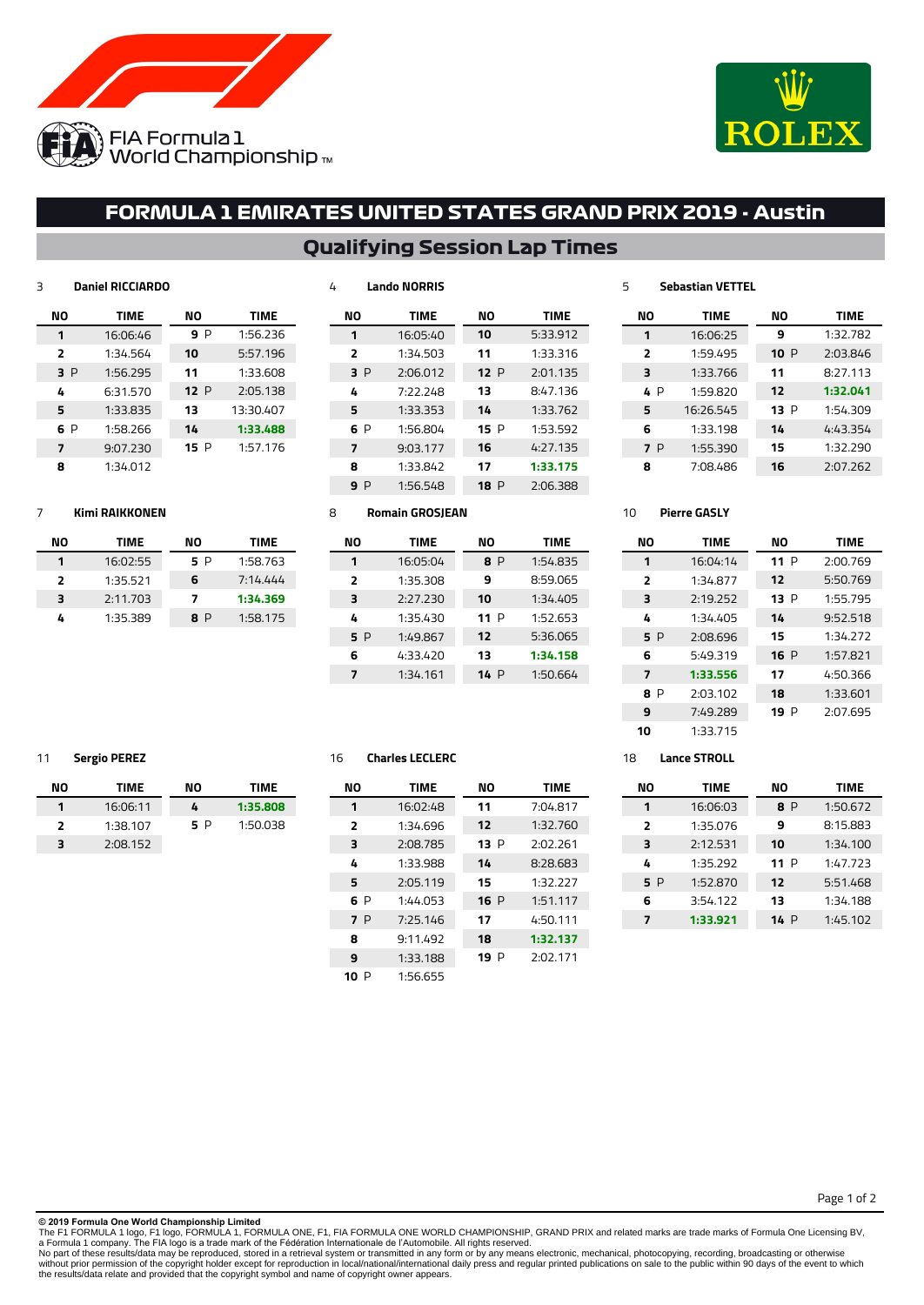



# **FORMULA 1 EMIRATES UNITED STATES GRAND PRIX 2019 - Austin**

# **Qualifying Session Lap Times**

# **Daniel RICCIARDO**

| NΟ             | <b>TIME</b> | NΟ   | <b>TIME</b> |
|----------------|-------------|------|-------------|
| 1              | 16:06:46    | 9 P  | 1:56.236    |
| $\overline{2}$ | 1:34.564    | 10   | 5:57.196    |
| 3 P            | 1:56.295    | 11   | 1:33.608    |
| 4              | 6:31.570    | 12P  | 2:05.138    |
| 5              | 1:33.835    | 13   | 13:30.407   |
| 6 P            | 1:58.266    | 14   | 1:33.488    |
| 7              | 9:07.230    | 15 P | 1:57.176    |
| 8              | 1:34.012    |      |             |

| NΟ             | <b>TIME</b> | NΟ  | <b>TIME</b> |
|----------------|-------------|-----|-------------|
| 1              | 16:05:40    | 10  | 5:33.912    |
| $\overline{2}$ | 1:34.503    | 11  | 1:33.316    |
| 3P             | 2:06.012    | 12P | 2:01.135    |
| 4              | 7:22.248    | 13  | 8:47.136    |
| 5              | 1:33.353    | 14  | 1:33.762    |
| 6 P            | 1:56.804    | 15P | 1:53.592    |
| $\overline{7}$ | 9:03.177    | 16  | 4:27.135    |
| 8              | 1:33.842    | 17  | 1:33.175    |
| 9 P            | 1:56.548    | 18P | 2:06.388    |
|                |             |     |             |

#### **Sebastian VETTEL**

| NΟ             | <b>TIME</b> | NΟ   | <b>TIME</b> |
|----------------|-------------|------|-------------|
| 1              | 16:06:25    | 9    | 1:32.782    |
| $\overline{2}$ | 1:59.495    | 10 P | 2:03.846    |
| 3              | 1:33.766    | 11   | 8:27.113    |
| 4 P            | 1:59.820    | 12   | 1:32.041    |
| 5              | 16:26.545   | 13 P | 1:54.309    |
| 6              | 1:33.198    | 14   | 4:43.354    |
| 7 P            | 1:55.390    | 15   | 1:32.290    |
| я              | 7:08.486    | 16   | 2:07.262    |
|                |             |      |             |

#### **Kimi RAIKKONEN**

| NΟ | TIME     | NΟ  | <b>TIME</b> |
|----|----------|-----|-------------|
| 1  | 16:02:55 | 5 P | 1:58.763    |
| 2  | 1:35.521 | 6   | 7:14.444    |
| ₹  | 2:11.703 | 7   | 1:34.369    |
| 4  | 1:35.389 | 8 P | 1:58.175    |

#### **Romain GROSJEAN**

**Lando NORRIS**

| NΟ  | TIME     | NΟ   | TIME     |
|-----|----------|------|----------|
| 1   | 16:05:04 | 8 P  | 1:54.835 |
| 2   | 1:35.308 | 9    | 8:59.065 |
| 3   | 2:27.230 | 10   | 1:34.405 |
| 4   | 1:35.430 | 11 P | 1:52.653 |
| 5 P | 1:49.867 | 12   | 5:36.065 |
| 6   | 4:33.420 | 13   | 1:34.158 |
| 7   | 1:34.161 | 14 P | 1:50.664 |
|     |          |      |          |

#### **Pierre GASLY**

| NΟ                      | <b>TIME</b> | NΟ   | <b>TIME</b> |
|-------------------------|-------------|------|-------------|
| 1                       | 16:04:14    | 11P  | 2:00.769    |
| $\overline{\mathbf{z}}$ | 1:34.877    | 12   | 5:50.769    |
| 3                       | 2:19.252    | 13 P | 1:55.795    |
| 4                       | 1:34.405    | 14   | 9:52.518    |
| 5 P                     | 2:08.696    | 15   | 1:34.272    |
| 6                       | 5:49.319    | 16P  | 1:57.821    |
| 7                       | 1:33.556    | 17   | 4:50.366    |
| 8 P                     | 2:03.102    | 18   | 1:33.601    |
| 9                       | 7:49.289    | 19 P | 2:07.695    |
| 10                      | 1:33.715    |      |             |

### **Sergio PEREZ**

| NΟ | TIME     | NΟ  | TIME     |
|----|----------|-----|----------|
|    | 16:06:11 | 4   | 1:35.808 |
| 2  | 1:38.107 | 5 P | 1:50.038 |
| 3  | 2:08.152 |     |          |

## **Charles LECLERC**

| NΟ             | <b>TIME</b> | NΟ   | <b>TIME</b> |
|----------------|-------------|------|-------------|
| 1              | 16:02:48    | 11   | 7:04.817    |
| $\overline{2}$ | 1:34.696    | 12   | 1:32.760    |
| 3              | 2:08.785    | 13 P | 2:02.261    |
| 4              | 1:33.988    | 14   | 8:28.683    |
| 5              | 2:05.119    | 15   | 1:32.227    |
| 6 P            | 1:44.053    | 16P  | 1:51.117    |
| 7 P            | 7:25.146    | 17   | 4:50.111    |
| 8              | 9:11.492    | 18   | 1:32.137    |
| 9              | 1:33.188    | 19 P | 2:02.171    |
| 10 P           | 1:56.655    |      |             |

#### **Lance STROLL**

| NΟ  | <b>TIME</b> | NΟ   | <b>TIME</b> |
|-----|-------------|------|-------------|
| 1   | 16:06:03    | 8 P  | 1:50.672    |
| 2   | 1:35.076    | 9    | 8:15.883    |
| 3   | 2:12.531    | 10   | 1:34.100    |
| 4   | 1:35.292    | 11 P | 1:47.723    |
| 5 P | 1:52.870    | 12   | 5:51.468    |
| 6   | 3:54.122    | 13   | 1:34.188    |
| 7   | 1:33.921    | 14P  | 1:45.102    |
|     |             |      |             |

**© 2019 Formula One World Championship Limited**

The F1 FORMULA 1 logo, F1 logo, FORMULA 1, FORMULA ONE, F1, FIA FORMULA ONE WORLD CHAMPIONSHIP, GRAND PRIX and related marks are trade marks of Formula One Licensing BV,<br>No part of these results/data may be reproduced, sto